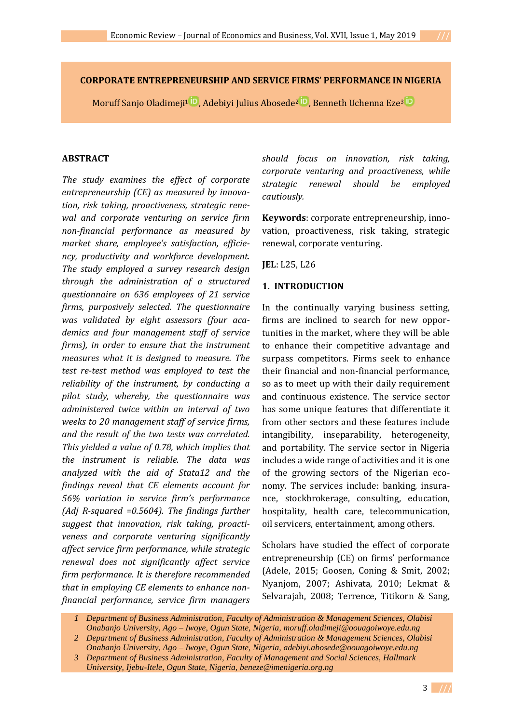Moruff Sanjo [Oladimeji](https://orcid.org/0000-0001-7342-3117)<sup>1</sup> <sup>iD</sup>, Adebiyi Julius [Abosede](https://orcid.org/0000-0002-4745-6334)<sup>2</sup> <sup>iD</sup>, Benneth Uchenn[a Eze](https://orcid.org/0000-0003-2676-823X)<sup>3</sup> iD

## **ABSTRACT**

*The study examines the effect of corporate entrepreneurship (CE) as measured by innovation, risk taking, proactiveness, strategic renewal and corporate venturing on service firm non-financial performance as measured by market share, employee's satisfaction, efficiency, productivity and workforce development. The study employed a survey research design through the administration of a structured questionnaire on 636 employees of 21 service firms, purposively selected. The questionnaire was validated by eight assessors (four academics and four management staff of service firms), in order to ensure that the instrument measures what it is designed to measure. The test re-test method was employed to test the reliability of the instrument, by conducting a pilot study, whereby, the questionnaire was administered twice within an interval of two weeks to 20 management staff of service firms, and the result of the two tests was correlated. This yielded a value of 0.78, which implies that the instrument is reliable. The data was analyzed with the aid of Stata12 and the findings reveal that CE elements account for 56% variation in service firm's performance (Adj R-squared =0.5604). The findings further suggest that innovation, risk taking, proactiveness and corporate venturing significantly affect service firm performance, while strategic renewal does not significantly affect service firm performance. It is therefore recommended that in employing CE elements to enhance nonfinancial performance, service firm managers* 

*should focus on innovation, risk taking, corporate venturing and proactiveness, while strategic renewal should be employed cautiously.* 

**Keywords**: corporate entrepreneurship, innovation, proactiveness, risk taking, strategic renewal, corporate venturing.

**JEL**: L25, L26

## **1. INTRODUCTION**

In the continually varying business setting, firms are inclined to search for new opportunities in the market, where they will be able to enhance their competitive advantage and surpass competitors. Firms seek to enhance their financial and non-financial performance, so as to meet up with their daily requirement and continuous existence. The service sector has some unique features that differentiate it from other sectors and these features include intangibility, inseparability, heterogeneity, and portability. The service sector in Nigeria includes a wide range of activities and it is one of the growing sectors of the Nigerian economy. The services include: banking, insurance, stockbrokerage, consulting, education, hospitality, health care, telecommunication, oil servicers, entertainment, among others.

Scholars have studied the effect of corporate entrepreneurship (CE) on firms' performance (Adele, 2015; Goosen, Coning & Smit, 2002; Nyanjom, 2007; Ashivata, 2010; Lekmat & Selvarajah, 2008; Terrence, Titikorn & Sang,

*<sup>1</sup> Department of Business Administration, Faculty of Administration & Management Sciences, Olabisi Onabanjo University, Ago – Iwoye, Ogun State, Nigeria, [moruff.oladimeji@oouagoiwoye.edu.ng](mailto:moruff.oladimeji@oouagoiwoye.edu.ng) 2 Department of Business Administration, Faculty of Administration & Management Sciences, Olabisi*

*Onabanjo University, Ago – Iwoye, Ogun State, Nigeria, [adebiyi.abosede@oouagoiwoye.edu.ng](mailto:adebiyi.abosede@oouagoiwoye.edu.ng)*

*<sup>3</sup> Department of Business Administration, Faculty of Management and Social Sciences, Hallmark University, Ijebu-Itele, Ogun State, Nigeria, [beneze@imenigeria.org.ng](mailto:beneze@imenigeria.org.ng)*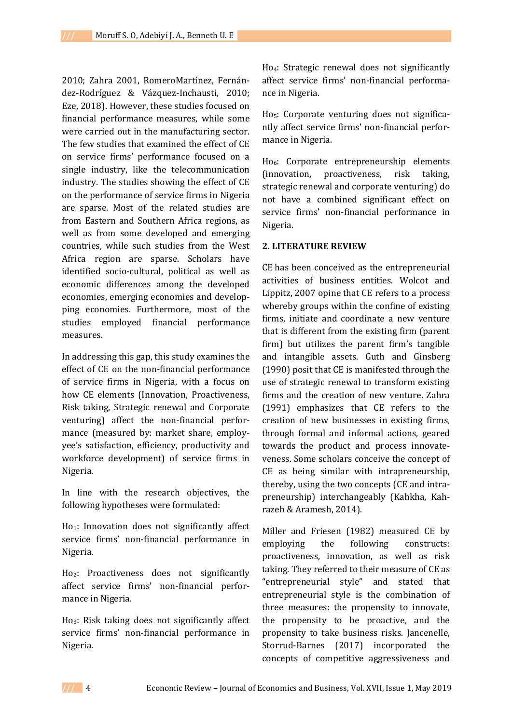2010; Zahra 2001, RomeroMartínez, Fernández-Rodríguez & Vázquez-Inchausti, 2010; Eze, 2018). However, these studies focused on financial performance measures, while some were carried out in the manufacturing sector. The few studies that examined the effect of CE on service firms' performance focused on a single industry, like the telecommunication industry. The studies showing the effect of CE on the performance of service firms in Nigeria are sparse. Most of the related studies are from Eastern and Southern Africa regions, as well as from some developed and emerging countries, while such studies from the West Africa region are sparse. Scholars have identified socio-cultural, political as well as economic differences among the developed economies, emerging economies and developping economies. Furthermore, most of the studies employed financial performance measures.

In addressing this gap, this study examines the effect of CE on the non-financial performance of service firms in Nigeria, with a focus on how CE elements (Innovation, Proactiveness, Risk taking, Strategic renewal and Corporate venturing) affect the non-financial performance (measured by: market share, employyee's satisfaction, efficiency, productivity and workforce development) of service firms in Nigeria.

In line with the research objectives, the following hypotheses were formulated:

 $Ho_1$ : Innovation does not significantly affect service firms' non-financial performance in Nigeria.

Ho2: Proactiveness does not significantly affect service firms' non-financial performance in Nigeria.

Ho3: Risk taking does not significantly affect service firms' non-financial performance in Nigeria.

Ho4: Strategic renewal does not significantly affect service firms' non-financial performance in Nigeria.

Ho5: Corporate venturing does not significantly affect service firms' non-financial performance in Nigeria.

Ho6: Corporate entrepreneurship elements (innovation, proactiveness, risk taking, strategic renewal and corporate venturing) do not have a combined significant effect on service firms' non-financial performance in Nigeria.

### **2. LITERATURE REVIEW**

CE has been conceived as the entrepreneurial activities of business entities. Wolcot and Lippitz, 2007 opine that CE refers to a process whereby groups within the confine of existing firms, initiate and coordinate a new venture that is different from the existing firm (parent firm) but utilizes the parent firm's tangible and intangible assets. Guth and Ginsberg (1990) posit that CE is manifested through the use of strategic renewal to transform existing firms and the creation of new venture. Zahra (1991) emphasizes that CE refers to the creation of new businesses in existing firms, through formal and informal actions, geared towards the product and process innovateveness. Some scholars conceive the concept of CE as being similar with intrapreneurship, thereby, using the two concepts (CE and intrapreneurship) interchangeably (Kahkha, Kahrazeh & Aramesh, 2014).

Miller and Friesen (1982) measured CE by employing the following constructs: proactiveness, innovation, as well as risk taking. They referred to their measure of CE as "entrepreneurial style" and stated that entrepreneurial style is the combination of three measures: the propensity to innovate, the propensity to be proactive, and the propensity to take business risks. Jancenelle, Storrud-Barnes (2017) incorporated the concepts of competitive aggressiveness and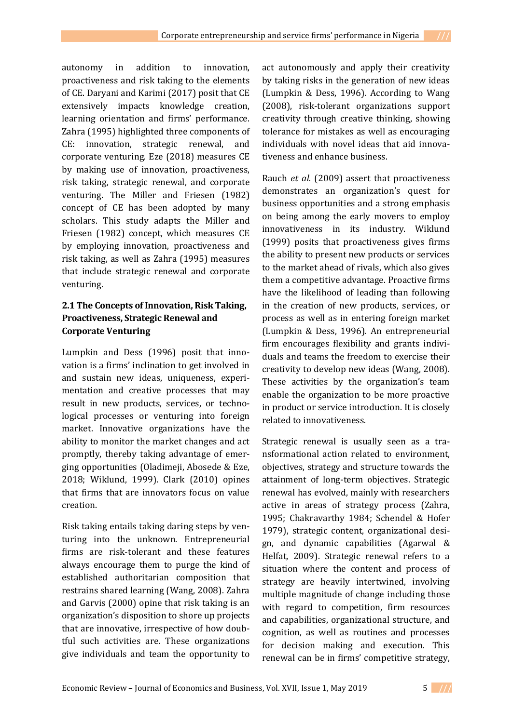autonomy in addition to innovation, proactiveness and risk taking to the elements of CE. Daryani and Karimi (2017) posit that CE extensively impacts knowledge creation, learning orientation and firms' performance. Zahra (1995) highlighted three components of CE: innovation, strategic renewal, and corporate venturing. Eze (2018) measures CE by making use of innovation, proactiveness, risk taking, strategic renewal, and corporate venturing. The Miller and Friesen (1982) concept of CE has been adopted by many scholars. This study adapts the Miller and Friesen (1982) concept, which measures CE by employing innovation, proactiveness and risk taking, as well as Zahra (1995) measures that include strategic renewal and corporate venturing.

# **2.1 The Concepts of Innovation, Risk Taking, Proactiveness, Strategic Renewal and Corporate Venturing**

Lumpkin and Dess (1996) posit that innovation is a firms' inclination to get involved in and sustain new ideas, uniqueness, experimentation and creative processes that may result in new products, services, or technological processes or venturing into foreign market. Innovative organizations have the ability to monitor the market changes and act promptly, thereby taking advantage of emerging opportunities (Oladimeji, Abosede & Eze, 2018; Wiklund, 1999). Clark (2010) opines that firms that are innovators focus on value creation.

Risk taking entails taking daring steps by venturing into the unknown. Entrepreneurial firms are risk-tolerant and these features always encourage them to purge the kind of established authoritarian composition that restrains shared learning (Wang, 2008). Zahra and Garvis (2000) opine that risk taking is an organization's disposition to shore up projects that are innovative, irrespective of how doubtful such activities are. These organizations give individuals and team the opportunity to

act autonomously and apply their creativity by taking risks in the generation of new ideas (Lumpkin & Dess, 1996). According to Wang (2008), risk-tolerant organizations support creativity through creative thinking, showing tolerance for mistakes as well as encouraging individuals with novel ideas that aid innovativeness and enhance business.

Rauch *et al*. (2009) assert that proactiveness demonstrates an organization's quest for business opportunities and a strong emphasis on being among the early movers to employ innovativeness in its industry. Wiklund (1999) posits that proactiveness gives firms the ability to present new products or services to the market ahead of rivals, which also gives them a competitive advantage. Proactive firms have the likelihood of leading than following in the creation of new products, services, or process as well as in entering foreign market (Lumpkin & Dess, 1996). An entrepreneurial firm encourages flexibility and grants individuals and teams the freedom to exercise their creativity to develop new ideas (Wang, 2008). These activities by the organization's team enable the organization to be more proactive in product or service introduction. It is closely related to innovativeness.

Strategic renewal is usually seen as a transformational action related to environment, objectives, strategy and structure towards the attainment of long-term objectives. Strategic renewal has evolved, mainly with researchers active in areas of strategy process (Zahra, 1995; Chakravarthy 1984; Schendel & Hofer 1979), strategic content, organizational design, and dynamic capabilities (Agarwal & Helfat, 2009). Strategic renewal refers to a situation where the content and process of strategy are heavily intertwined, involving multiple magnitude of change including those with regard to competition, firm resources and capabilities, organizational structure, and cognition, as well as routines and processes for decision making and execution. This renewal can be in firms' competitive strategy,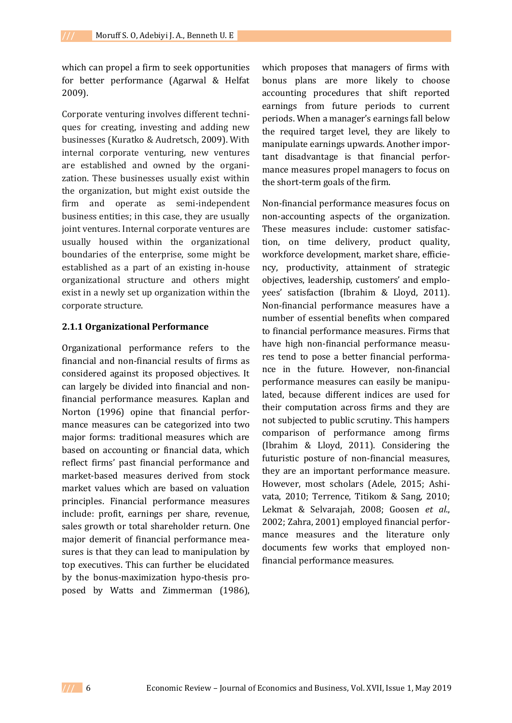which can propel a firm to seek opportunities for better performance (Agarwal & Helfat 2009).

Corporate venturing involves different techniques for creating, investing and adding new businesses (Kuratko & Audretsch, 2009). With internal corporate venturing, new ventures are established and owned by the organization. These businesses usually exist within the organization, but might exist outside the firm and operate as semi-independent business entities; in this case, they are usually joint ventures. Internal corporate ventures are usually housed within the organizational boundaries of the enterprise, some might be established as a part of an existing in-house organizational structure and others might exist in a newly set up organization within the corporate structure.

### **2.1.1 Organizational Performance**

Organizational performance refers to the financial and non-financial results of firms as considered against its proposed objectives. It can largely be divided into financial and nonfinancial performance measures. Kaplan and Norton (1996) opine that financial performance measures can be categorized into two major forms: traditional measures which are based on accounting or financial data, which reflect firms' past financial performance and market-based measures derived from stock market values which are based on valuation principles. Financial performance measures include: profit, earnings per share, revenue, sales growth or total shareholder return. One major demerit of financial performance measures is that they can lead to manipulation by top executives. This can further be elucidated by the bonus-maximization hypo-thesis proposed by Watts and Zimmerman (1986),

which proposes that managers of firms with bonus plans are more likely to choose accounting procedures that shift reported earnings from future periods to current periods. When a manager's earnings fall below the required target level, they are likely to manipulate earnings upwards. Another important disadvantage is that financial performance measures propel managers to focus on the short-term goals of the firm.

Non-financial performance measures focus on non-accounting aspects of the organization. These measures include: customer satisfaction, on time delivery, product quality, workforce development, market share, efficiency, productivity, attainment of strategic objectives, leadership, customers' and employees' satisfaction (Ibrahim & Lloyd, 2011). Non-financial performance measures have a number of essential benefits when compared to financial performance measures. Firms that have high non-financial performance measures tend to pose a better financial performance in the future. However, non-financial performance measures can easily be manipulated, because different indices are used for their computation across firms and they are not subjected to public scrutiny. This hampers comparison of performance among firms (Ibrahim & Lloyd, 2011). Considering the futuristic posture of non-financial measures, they are an important performance measure. However, most scholars (Adele, 2015; Ashivata, 2010; Terrence, Titikom & Sang, 2010; Lekmat & Selvarajah, 2008; Goosen *et al*., 2002; Zahra, 2001) employed financial performance measures and the literature only documents few works that employed nonfinancial performance measures.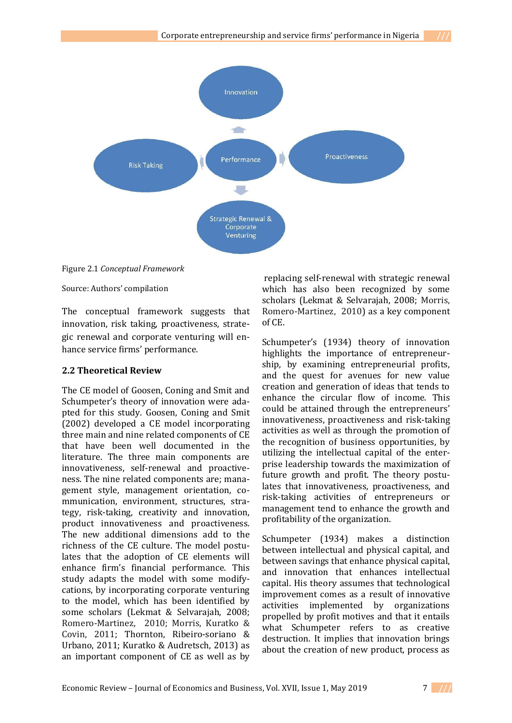

Figure 2.1 *Conceptual Framework*

Source: Authors' compilation

The conceptual framework suggests that innovation, risk taking, proactiveness, strategic renewal and corporate venturing will enhance service firms' performance.

#### **2.2 Theoretical Review**

The CE model of Goosen, Coning and Smit and Schumpeter's theory of innovation were adapted for this study. Goosen, Coning and Smit (2002) developed a CE model incorporating three main and nine related components of CE that have been well documented in the literature. The three main components are innovativeness, self-renewal and proactiveness. The nine related components are; management style, management orientation, communication, environment, structures, strategy, risk-taking, creativity and innovation, product innovativeness and proactiveness. The new additional dimensions add to the richness of the CE culture. The model postulates that the adoption of CE elements will enhance firm's financial performance. This study adapts the model with some modifycations, by incorporating corporate venturing to the model, which has been identified by some scholars (Lekmat & Selvarajah, 2008; Romero-Martinez, 2010; Morris, Kuratko & Covin, 2011; Thornton, Ribeiro-soriano & Urbano, 2011; Kuratko & Audretsch, 2013) as an important component of CE as well as by

replacing self-renewal with strategic renewal which has also been recognized by some scholars (Lekmat & Selvarajah, 2008; Morris, Romero-Martinez, 2010) as a key component of CE.

Schumpeter's (1934) theory of innovation highlights the importance of entrepreneurship, by examining entrepreneurial profits, and the quest for avenues for new value creation and generation of ideas that tends to enhance the circular flow of income. This could be attained through the entrepreneurs' innovativeness, proactiveness and risk-taking activities as well as through the promotion of the recognition of business opportunities, by utilizing the intellectual capital of the enterprise leadership towards the maximization of future growth and profit. The theory postulates that innovativeness, proactiveness, and risk-taking activities of entrepreneurs or management tend to enhance the growth and profitability of the organization.

Schumpeter (1934) makes a distinction between intellectual and physical capital, and between savings that enhance physical capital, and innovation that enhances intellectual capital. His theory assumes that technological improvement comes as a result of innovative activities implemented by organizations propelled by profit motives and that it entails what Schumpeter refers to as creative destruction. It implies that innovation brings about the creation of new product, process as

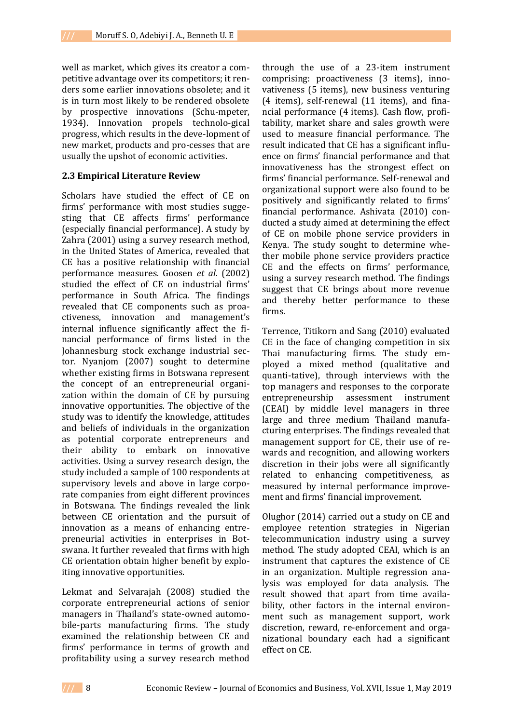well as market, which gives its creator a competitive advantage over its competitors; it renders some earlier innovations obsolete; and it is in turn most likely to be rendered obsolete by prospective innovations (Schu-mpeter, 1934). Innovation propels technolo-gical progress, which results in the deve-lopment of new market, products and pro-cesses that are usually the upshot of economic activities.

#### **2.3 Empirical Literature Review**

Scholars have studied the effect of CE on firms' performance with most studies suggesting that CE affects firms' performance (especially financial performance). A study by Zahra (2001) using a survey research method, in the United States of America, revealed that CE has a positive relationship with financial performance measures. Goosen *et al*. (2002) studied the effect of CE on industrial firms' performance in South Africa. The findings revealed that CE components such as proactiveness, innovation and management's internal influence significantly affect the financial performance of firms listed in the Johannesburg stock exchange industrial sector. Nyanjom (2007) sought to determine whether existing firms in Botswana represent the concept of an entrepreneurial organization within the domain of CE by pursuing innovative opportunities. The objective of the study was to identify the knowledge, attitudes and beliefs of individuals in the organization as potential corporate entrepreneurs and their ability to embark on innovative activities. Using a survey research design, the study included a sample of 100 respondents at supervisory levels and above in large corporate companies from eight different provinces in Botswana. The findings revealed the link between CE orientation and the pursuit of innovation as a means of enhancing entrepreneurial activities in enterprises in Botswana. It further revealed that firms with high CE orientation obtain higher benefit by exploiting innovative opportunities.

Lekmat and Selvarajah (2008) studied the corporate entrepreneurial actions of senior managers in Thailand's state-owned automobile-parts manufacturing firms. The study examined the relationship between CE and firms' performance in terms of growth and profitability using a survey research method

through the use of a 23-item instrument comprising: proactiveness (3 items), innovativeness (5 items), new business venturing (4 items), self-renewal (11 items), and financial performance (4 items). Cash flow, profitability, market share and sales growth were used to measure financial performance. The result indicated that CE has a significant influence on firms' financial performance and that innovativeness has the strongest effect on firms' financial performance. Self-renewal and organizational support were also found to be positively and significantly related to firms' financial performance. Ashivata (2010) conducted a study aimed at determining the effect of CE on mobile phone service providers in Kenya. The study sought to determine whether mobile phone service providers practice CE and the effects on firms' performance, using a survey research method. The findings suggest that CE brings about more revenue and thereby better performance to these firms.

Terrence, Titikorn and Sang (2010) evaluated CE in the face of changing competition in six Thai manufacturing firms. The study employed a mixed method (qualitative and quanti-tative), through interviews with the top managers and responses to the corporate entrepreneurship assessment instrument (CEAI) by middle level managers in three large and three medium Thailand manufacturing enterprises. The findings revealed that management support for CE, their use of rewards and recognition, and allowing workers discretion in their jobs were all significantly related to enhancing competitiveness, as measured by internal performance improvement and firms' financial improvement.

Olughor (2014) carried out a study on CE and employee retention strategies in Nigerian telecommunication industry using a survey method. The study adopted CEAI, which is an instrument that captures the existence of CE in an organization. Multiple regression analysis was employed for data analysis. The result showed that apart from time availability, other factors in the internal environment such as management support, work discretion, reward, re-enforcement and organizational boundary each had a significant effect on CE.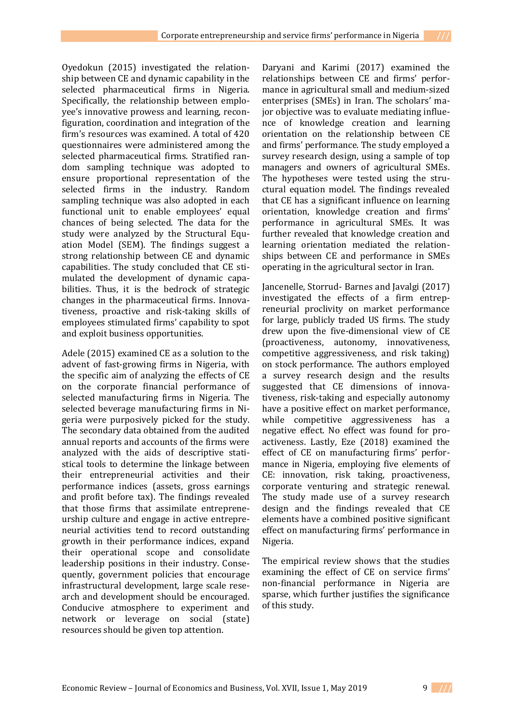Oyedokun (2015) investigated the relationship between CE and dynamic capability in the selected pharmaceutical firms in Nigeria. Specifically, the relationship between employee's innovative prowess and learning, reconfiguration, coordination and integration of the firm's resources was examined. A total of 420 questionnaires were administered among the selected pharmaceutical firms. Stratified random sampling technique was adopted to ensure proportional representation of the selected firms in the industry. Random sampling technique was also adopted in each functional unit to enable employees' equal chances of being selected. The data for the study were analyzed by the Structural Equation Model (SEM). The findings suggest a strong relationship between CE and dynamic capabilities. The study concluded that CE stimulated the development of dynamic capabilities. Thus, it is the bedrock of strategic changes in the pharmaceutical firms. Innovativeness, proactive and risk-taking skills of employees stimulated firms' capability to spot and exploit business opportunities.

Adele (2015) examined CE as a solution to the advent of fast-growing firms in Nigeria, with the specific aim of analyzing the effects of CE on the corporate financial performance of selected manufacturing firms in Nigeria. The selected beverage manufacturing firms in Nigeria were purposively picked for the study. The secondary data obtained from the audited annual reports and accounts of the firms were analyzed with the aids of descriptive statistical tools to determine the linkage between their entrepreneurial activities and their performance indices (assets, gross earnings and profit before tax). The findings revealed that those firms that assimilate entrepreneurship culture and engage in active entrepreneurial activities tend to record outstanding growth in their performance indices, expand their operational scope and consolidate leadership positions in their industry. Consequently, government policies that encourage infrastructural development, large scale research and development should be encouraged. Conducive atmosphere to experiment and network or leverage on social (state) resources should be given top attention.

Daryani and Karimi (2017) examined the relationships between CE and firms' performance in agricultural small and medium-sized enterprises (SMEs) in Iran. The scholars' major objective was to evaluate mediating influence of knowledge creation and learning orientation on the relationship between CE and firms' performance. The study employed a survey research design, using a sample of top managers and owners of agricultural SMEs. The hypotheses were tested using the structural equation model. The findings revealed that CE has a significant influence on learning orientation, knowledge creation and firms' performance in agricultural SMEs. It was further revealed that knowledge creation and learning orientation mediated the relationships between CE and performance in SMEs operating in the agricultural sector in Iran.

Jancenelle, Storrud- Barnes and Javalgi (2017) investigated the effects of a firm entrepreneurial proclivity on market performance for large, publicly traded US firms. The study drew upon the five-dimensional view of CE (proactiveness, autonomy, innovativeness, competitive aggressiveness, and risk taking) on stock performance. The authors employed a survey research design and the results suggested that CE dimensions of innovativeness, risk-taking and especially autonomy have a positive effect on market performance, while competitive aggressiveness has a negative effect. No effect was found for proactiveness. Lastly, Eze (2018) examined the effect of CE on manufacturing firms' performance in Nigeria, employing five elements of CE: innovation, risk taking, proactiveness, corporate venturing and strategic renewal. The study made use of a survey research design and the findings revealed that CE elements have a combined positive significant effect on manufacturing firms' performance in Nigeria.

The empirical review shows that the studies examining the effect of CE on service firms' non-financial performance in Nigeria are sparse, which further justifies the significance of this study.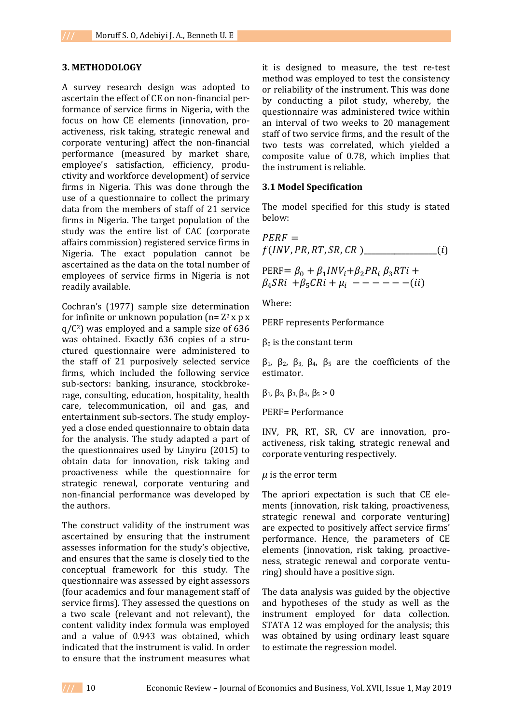#### **3. METHODOLOGY**

A survey research design was adopted to ascertain the effect of CE on non-financial performance of service firms in Nigeria, with the focus on how CE elements (innovation, proactiveness, risk taking, strategic renewal and corporate venturing) affect the non-financial performance (measured by market share, employee's satisfaction, efficiency, productivity and workforce development) of service firms in Nigeria. This was done through the use of a questionnaire to collect the primary data from the members of staff of 21 service firms in Nigeria. The target population of the study was the entire list of CAC (corporate affairs commission) registered service firms in Nigeria. The exact population cannot be ascertained as the data on the total number of employees of service firms in Nigeria is not readily available.

Cochran's (1977) sample size determination for infinite or unknown population ( $n= Z^2$  x p x  $q/C<sup>2</sup>$ ) was employed and a sample size of 636 was obtained. Exactly 636 copies of a structured questionnaire were administered to the staff of 21 purposively selected service firms, which included the following service sub-sectors: banking, insurance, stockbrokerage, consulting, education, hospitality, health care, telecommunication, oil and gas, and entertainment sub-sectors. The study employyed a close ended questionnaire to obtain data for the analysis. The study adapted a part of the questionnaires used by Linyiru (2015) to obtain data for innovation, risk taking and proactiveness while the questionnaire for strategic renewal, corporate venturing and non-financial performance was developed by the authors.

The construct validity of the instrument was ascertained by ensuring that the instrument assesses information for the study's objective, and ensures that the same is closely tied to the conceptual framework for this study. The questionnaire was assessed by eight assessors (four academics and four management staff of service firms). They assessed the questions on a two scale (relevant and not relevant), the content validity index formula was employed and a value of 0.943 was obtained, which indicated that the instrument is valid. In order to ensure that the instrument measures what

it is designed to measure, the test re-test method was employed to test the consistency or reliability of the instrument. This was done by conducting a pilot study, whereby, the questionnaire was administered twice within an interval of two weeks to 20 management staff of two service firms, and the result of the two tests was correlated, which yielded a composite value of 0.78, which implies that the instrument is reliable.

#### **3.1 Model Specification**

The model specified for this study is stated below:

 $PERF =$ (, , , , )\_\_\_\_\_\_\_\_\_\_\_\_\_\_\_\_\_\_\_()

$$
PERF = \beta_0 + \beta_1 INV_i + \beta_2 PR_i \beta_3 RTi + \n\beta_4 SRi + \beta_5 CRi + \mu_i
$$
 - - - - - - (ii)

Where:

PERF represents Performance

 $β<sub>0</sub>$  is the constant term

β1, β2, β3, β4, β<sup>5</sup> are the coefficients of the estimator.

 $β_1$ ,  $β_2$ ,  $β_3$ ,  $β_4$ ,  $β_5 > 0$ 

PERF= Performance

INV, PR, RT, SR, CV are innovation, proactiveness, risk taking, strategic renewal and corporate venturing respectively.

#### $\mu$  is the error term

The apriori expectation is such that CE elements (innovation, risk taking, proactiveness, strategic renewal and corporate venturing) are expected to positively affect service firms' performance. Hence, the parameters of CE elements (innovation, risk taking, proactiveness, strategic renewal and corporate venturing) should have a positive sign.

The data analysis was guided by the objective and hypotheses of the study as well as the instrument employed for data collection. STATA 12 was employed for the analysis; this was obtained by using ordinary least square to estimate the regression model.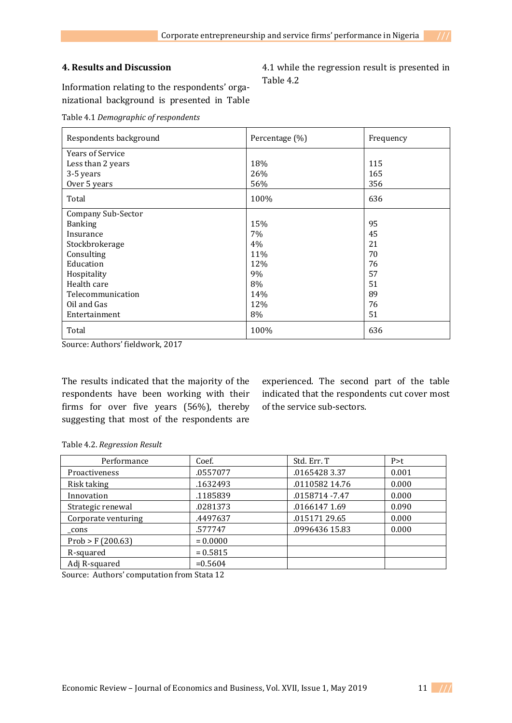## **4. Results and Discussion**

Information relating to the respondents' organizational background is presented in Table

Table 4.1 *Demographic of respondents*

| Respondents background  | Percentage (%) | Frequency |
|-------------------------|----------------|-----------|
| <b>Years of Service</b> |                |           |
| Less than 2 years       | 18%            | 115       |
| 3-5 years               | 26%            | 165       |
| Over 5 years            | 56%            | 356       |
| Total                   | 100%           | 636       |
| Company Sub-Sector      |                |           |
| <b>Banking</b>          | 15%            | 95        |
| Insurance               | 7%             | 45        |
| Stockbrokerage          | 4%             | 21        |
| Consulting              | 11%            | 70        |
| Education               | 12%            | 76        |
| Hospitality             | 9%             | 57        |
| Health care             | 8%             | 51        |
| Telecommunication       | 14%            | 89        |
| Oil and Gas             | 12%            | 76        |
| Entertainment           | 8%             | 51        |
| Total                   | 100%           | 636       |

Source: Authors' fieldwork, 2017

The results indicated that the majority of the respondents have been working with their firms for over five years (56%), thereby suggesting that most of the respondents are

experienced. The second part of the table indicated that the respondents cut cover most of the service sub-sectors.

|  | Table 4.2. Regression Result |  |
|--|------------------------------|--|
|  |                              |  |

| Performance          | Coef.      | Std. Err. T     | P > t |
|----------------------|------------|-----------------|-------|
| <b>Proactiveness</b> | .0557077   | .0165428 3.37   | 0.001 |
| Risk taking          | .1632493   | .0110582 14.76  | 0.000 |
| Innovation           | .1185839   | .0158714 - 7.47 | 0.000 |
| Strategic renewal    | .0281373   | .0166147 1.69   | 0.090 |
| Corporate venturing  | .4497637   | .01517129.65    | 0.000 |
| cons                 | .577747    | .0996436 15.83  | 0.000 |
| Prob > F(200.63)     | $= 0.0000$ |                 |       |
| R-squared            | $= 0.5815$ |                 |       |
| Adj R-squared        | $= 0.5604$ |                 |       |

Source: Authors' computation from Stata 12

4.1 while the regression result is presented in Table 4.2

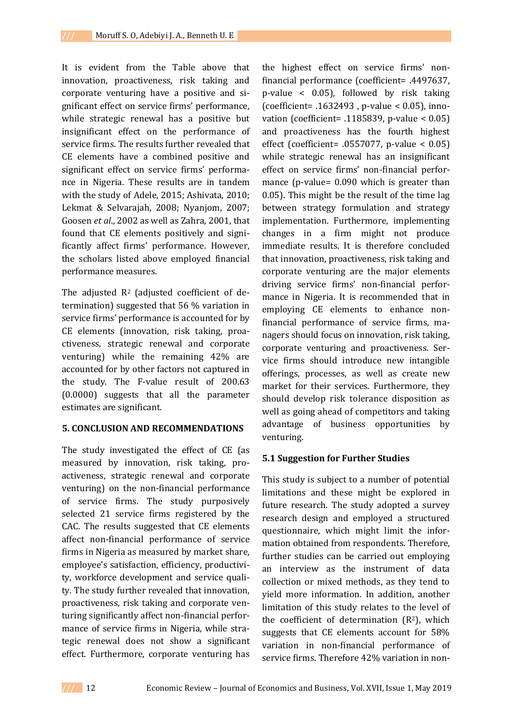It is evident from the Table above that innovation, proactiveness, risk taking and corporate venturing have a positive and significant effect on service firms' performance, while strategic renewal has a positive but insignificant effect on the performance of service firms. The results further revealed that CE elements have a combined positive and significant effect on service firms' performance in Nigeria. These results are in tandem with the study of Adele, 2015; Ashivata, 2010; Lekmat & Selvarajah, 2008; Nyanjom, 2007; Goosen *et al*., 2002 as well as Zahra, 2001, that found that CE elements positively and significantly affect firms' performance. However, the scholars listed above employed financial performance measures.

The adjusted  $R^2$  (adjusted coefficient of determination) suggested that 56 % variation in service firms' performance is accounted for by CE elements (innovation, risk taking, proactiveness, strategic renewal and corporate venturing) while the remaining 42% are accounted for by other factors not captured in the study. The F-value result of 200.63 (0.0000) suggests that all the parameter estimates are significant.

## **5. CONCLUSION AND RECOMMENDATIONS**

The study investigated the effect of CE (as measured by innovation, risk taking, proactiveness, strategic renewal and corporate venturing) on the non-financial performance of service firms. The study purposively selected 21 service firms registered by the CAC. The results suggested that CE elements affect non-financial performance of service firms in Nigeria as measured by market share, employee's satisfaction, efficiency, productivity, workforce development and service quality. The study further revealed that innovation, proactiveness, risk taking and corporate venturing significantly affect non-financial performance of service firms in Nigeria, while strategic renewal does not show a significant effect. Furthermore, corporate venturing has

the highest effect on service firms' nonfinancial performance (coefficient= .4497637, p-value < 0.05), followed by risk taking (coefficient= .1632493 , p-value < 0.05), innovation (coefficient= .1185839, p-value < 0.05) and proactiveness has the fourth highest effect (coefficient= .0557077, p-value < 0.05) while strategic renewal has an insignificant effect on service firms' non-financial performance (p-value= 0.090 which is greater than 0.05). This might be the result of the time lag between strategy formulation and strategy implementation. Furthermore, implementing changes in a firm might not produce immediate results. It is therefore concluded that innovation, proactiveness, risk taking and corporate venturing are the major elements driving service firms' non-financial performance in Nigeria. It is recommended that in employing CE elements to enhance nonfinancial performance of service firms, managers should focus on innovation, risk taking, corporate venturing and proactiveness. Service firms should introduce new intangible offerings, processes, as well as create new market for their services. Furthermore, they should develop risk tolerance disposition as well as going ahead of competitors and taking advantage of business opportunities by venturing.

## **5.1 Suggestion for Further Studies**

This study is subject to a number of potential limitations and these might be explored in future research. The study adopted a survey research design and employed a structured questionnaire, which might limit the information obtained from respondents. Therefore, further studies can be carried out employing an interview as the instrument of data collection or mixed methods, as they tend to yield more information. In addition, another limitation of this study relates to the level of the coefficient of determination  $(R^2)$ , which suggests that CE elements account for 58% variation in non-financial performance of service firms. Therefore 42% variation in non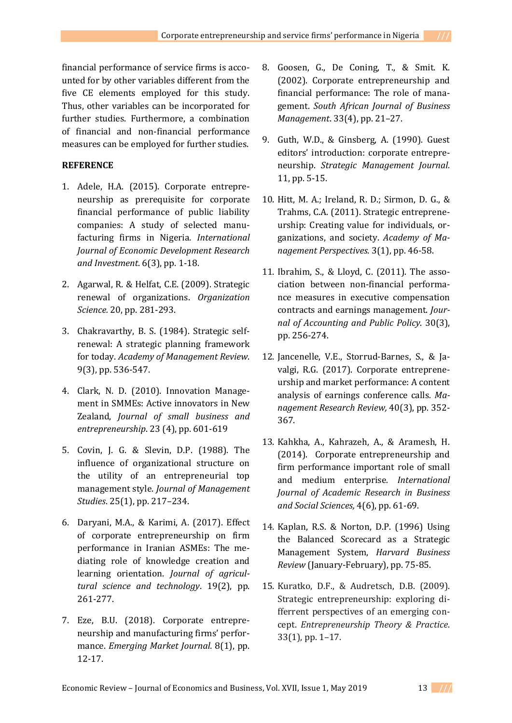financial performance of service firms is accounted for by other variables different from the five CE elements employed for this study. Thus, other variables can be incorporated for further studies. Furthermore, a combination of financial and non-financial performance measures can be employed for further studies.

## **REFERENCE**

- 1. Adele, H.A. (2015). Corporate entrepreneurship as prerequisite for corporate financial performance of public liability companies: A study of selected manufacturing firms in Nigeria*. International Journal of Economic Development Research and Investment*. 6(3), pp. 1-18.
- 2. Agarwal, R. & Helfat, C.E. (2009). Strategic renewal of organizations. *Organization Science.* 20, pp. 281-293.
- 3. Chakravarthy, B. S. (1984). Strategic selfrenewal: A strategic planning framework for today. *Academy of Management Review*. 9(3), pp. 536-547.
- 4. Clark, N. D. (2010). Innovation Management in SMMEs: Active innovators in New Zealand, *Journal of small business and entrepreneurship*. 23 (4), pp. 601-619
- 5. Covin, J. G. & Slevin, D.P. (1988). The influence of organizational structure on the utility of an entrepreneurial top management style. *Journal of Management Studies*. 25(1), pp. 217–234.
- 6. Daryani, M.A., & Karimi, A. (2017). Effect of corporate entrepreneurship on firm performance in Iranian ASMEs: The mediating role of knowledge creation and learning orientation. *Journal of agricultural science and technology*. 19(2), pp. 261-277.
- 7. Eze, B.U. (2018). Corporate entrepreneurship and manufacturing firms' performance. *Emerging Market Journal.* 8(1), pp. 12-17.
- 8. Goosen, G., De Coning, T., & Smit. K. (2002). Corporate entrepreneurship and financial performance: The role of management. *South African Journal of Business Management*. 33(4), pp. 21–27.
- 9. Guth, W.D., & Ginsberg, A. (1990). Guest editors' introduction: corporate entrepreneurship. *Strategic Management Journal.*  11, pp. 5-15.
- 10. Hitt, M. A.; Ireland, R. D.; Sirmon, D. G., & Trahms, C.A. (2011). Strategic entrepreneurship: Creating value for individuals, organizations, and society. *Academy of Management Perspectives.* 3(1), pp. 46-58.
- 11. Ibrahim, S., & Lloyd, C. (2011). The association between non-financial performance measures in executive compensation contracts and earnings management. *Journal of Accounting and Public Policy*. 30(3), pp. 256-274.
- 12. [Jancenelle,](http://www.emeraldinsight.com/author/Jancenelle%2C+Vivien+E) V.E., [Storrud-Barnes,](http://www.emeraldinsight.com/author/Storrud-Barnes%2C+Susan) S., [& Ja](http://www.emeraldinsight.com/author/Javalgi%2C+Rajshekhar+Raj+G)[valgi,](http://www.emeraldinsight.com/author/Javalgi%2C+Rajshekhar+Raj+G) R.G. (2017). Corporate entrepreneurship and market performance: A content analysis of earnings conference calls*. Management Research Review,* 40(3), pp. 352- 367.
- 13. Kahkha, A., Kahrazeh, A., & Aramesh, H. (2014). Corporate entrepreneurship and firm performance important role of small and medium enterprise*. International Journal of Academic Research in Business and Social Sciences,* 4(6), pp. 61-69.
- 14. Kaplan, R.S. & Norton, D.P. (1996) Using the Balanced Scorecard as a Strategic Management System, *Harvard Business Review* (January-February), pp. 75-85.
- 15. Kuratko, D.F., & Audretsch, D.B. (2009). Strategic entrepreneurship: exploring differrent perspectives of an emerging concept. *Entrepreneurship Theory & Practice*. 33(1), pp. 1–17.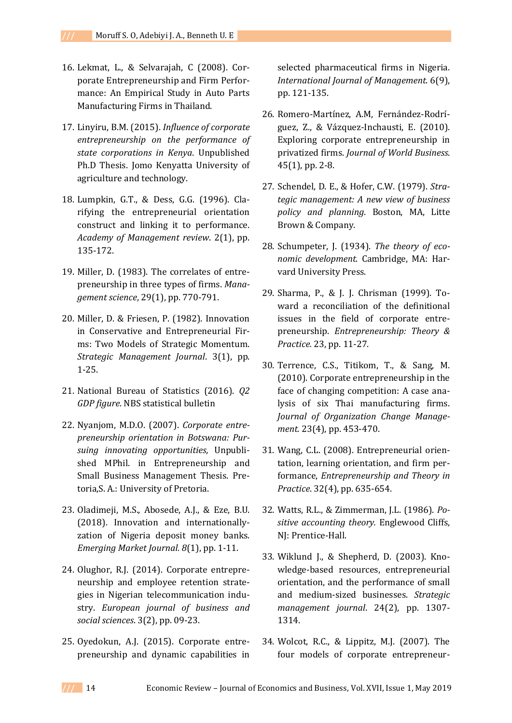- 16. Lekmat, L., & Selvarajah, C (2008). Corporate Entrepreneurship and Firm Performance: An Empirical Study in Auto Parts Manufacturing Firms in Thailand.
- 17. Linyiru, B.M. (2015). *Influence of corporate entrepreneurship on the performance of state corporations in Kenya*. Unpublished Ph.D Thesis. Jomo Kenyatta University of agriculture and technology.
- 18. Lumpkin, G.T., & Dess, G.G. (1996). Clarifying the entrepreneurial orientation construct and linking it to performance. *Academy of Management review*. 2(1), pp. 135-172.
- 19. Miller, D. (1983). The correlates of entrepreneurship in three types of firms. *Management science*, 29(1), pp. 770-791.
- 20. Miller, D. & Friesen, P. (1982). Innovation in Conservative and Entrepreneurial Firms: Two Models of Strategic Momentum. *Strategic Management Journal*. 3(1), pp. 1-25.
- 21. National Bureau of Statistics (2016). *Q2 GDP figure*. NBS statistical bulletin
- 22. Nyanjom, M.D.O. (2007). *Corporate entrepreneurship orientation in Botswana: Pursuing innovating opportunities,* Unpublished MPhil. in Entrepreneurship and Small Business Management Thesis. Pretoria,S. A.: University of Pretoria.
- 23. Oladimeji, M.S., Abosede, A.J., & Eze, B.U. (2018). Innovation and internationallyzation of Nigeria deposit money banks. *Emerging Market Journal. 8*(1), pp. 1-11.
- 24. Olughor, R.J. (2014). Corporate entrepreneurship and employee retention strategies in Nigerian telecommunication industry. *European journal of business and social sciences*. 3(2), pp. 09-23.
- 25. Oyedokun, A.J. (2015). Corporate entrepreneurship and dynamic capabilities in

selected pharmaceutical firms in Nigeria. *International Journal of Management*. 6(9), pp. 121-135.

- 26. Romero-Martínez, A.M, Fernández-Rodríguez, Z., & Vázquez-Inchausti, E. (2010). Exploring corporate entrepreneurship in privatized firms. *Journal of World Business*. 45(1), pp. 2-8.
- 27. Schendel, D. E., & Hofer, C.W. (1979). *Strategic management: A new view of business policy and planning*. Boston, MA, Litte Brown & Company.
- 28. Schumpeter, J. (1934). *The theory of economic development*. Cambridge, MA: Harvard University Press.
- 29. Sharma, P., & J. J. Chrisman (1999). Toward a reconciliation of the definitional issues in the field of corporate entrepreneurship. *Entrepreneurship: Theory & Practice.* 23, pp. 11-27.
- 30. Terrence, C.S., Titikom, T., & Sang, M. (2010). Corporate entrepreneurship in the face of changing competition: A case analysis of six Thai manufacturing firms. *Journal of Organization Change Management.* 23(4), pp. 453-470.
- 31. Wang, C.L. (2008). Entrepreneurial orientation, learning orientation, and firm performance, *Entrepreneurship and Theory in Practice*. 32(4), pp. 635-654.
- 32. Watts, R.L., & Zimmerman, J.L. (1986). *Positive accounting theory.* Englewood Cliffs, NJ: Prentice-Hall.
- 33. Wiklund J., & Shepherd, D. (2003). Knowledge-based resources, entrepreneurial orientation, and the performance of small and medium-sized businesses. *Strategic management journal*. 24(2), pp. 1307- 1314.
- 34. Wolcot, R.C., & Lippitz, M.J. (2007). The four models of corporate entrepreneur-